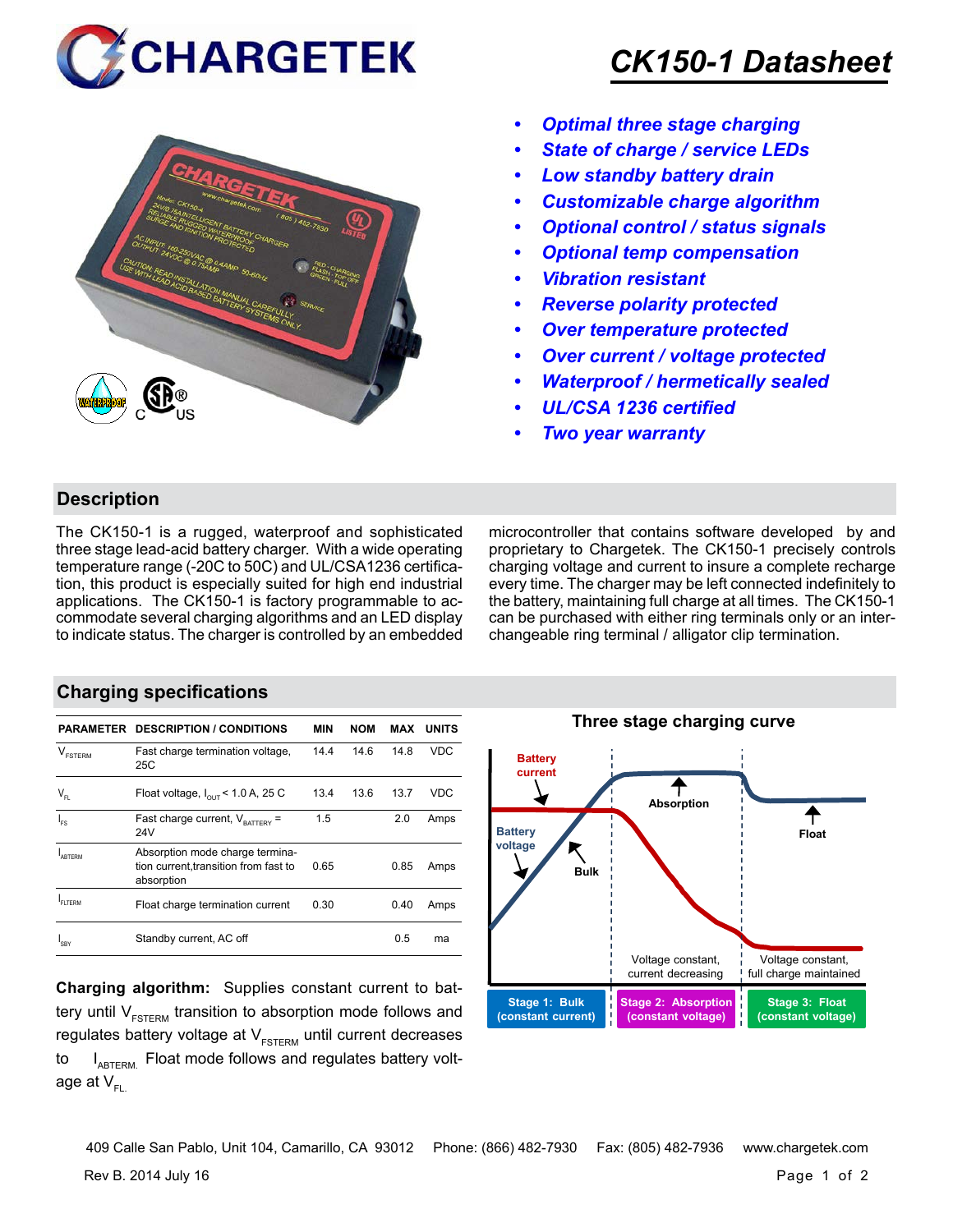



## *CK150-1 Datasheet*

- *• Optimal three stage charging*
- *• State of charge / service LEDs*
- *• Low standby battery drain*
- *• Customizable charge algorithm*
- *• Optional control / status signals*
- *• Optional temp compensation*
- *• Vibration resistant*
- *• Reverse polarity protected*
- *• Over temperature protected*
- *• Over current / voltage protected*
- *• Waterproof / hermetically sealed*
- *• UL/CSA 1236 certified*
- *• Two year warranty*

## **Description**

The CK150-1 is a rugged, waterproof and sophisticated three stage lead-acid battery charger. With a wide operating temperature range (-20C to 50C) and UL/CSA1236 certification, this product is especially suited for high end industrial applications. The CK150-1 is factory programmable to accommodate several charging algorithms and an LED display to indicate status. The charger is controlled by an embedded microcontroller that contains software developed by and proprietary to Chargetek. The CK150-1 precisely controls charging voltage and current to insure a complete recharge every time. The charger may be left connected indefinitely to the battery, maintaining full charge at all times. The CK150-1 can be purchased with either ring terminals only or an interchangeable ring terminal / alligator clip termination.

## **Charging specifications**

| <b>PARAMETER</b>               | <b>DESCRIPTION / CONDITIONS</b>                                                        | <b>MIN</b> | <b>NOM</b> | <b>MAX</b> | UNITS      |
|--------------------------------|----------------------------------------------------------------------------------------|------------|------------|------------|------------|
| $\mathcal{L}$<br><b>FSTERM</b> | Fast charge termination voltage,<br>25C                                                | 14.4       | 14.6       | 14.8       | <b>VDC</b> |
| $\mathsf{V}_{\mathsf{FL}}$     | Float voltage, $I_{\text{out}}$ < 1.0 A, 25 C                                          | 13.4       | 13.6       | 13.7       | VDC        |
| l <sub>FS</sub>                | Fast charge current, $V_{\text{raffers}}$ =<br>24V                                     | 1.5        |            | 2.0        | Amps       |
| ARTFRM                         | Absorption mode charge termina-<br>tion current, transition from fast to<br>absorption | 0.65       |            | 0.85       | Amps       |
| FI TFRM                        | Float charge termination current                                                       | 0.30       |            | 0.40       | Amps       |
| SRY                            | Standby current, AC off                                                                |            |            | 0.5        | ma         |

**Charging algorithm:** Supplies constant current to battery until  $V_{ESTERM}$  transition to absorption mode follows and regulates battery voltage at  $V_{ESTFRM}$  until current decreases to  $I_{ABTERM}$ . Float mode follows and regulates battery voltage at  $V_{\text{F}}$ 



Rev B. 2014 July 16 Page 1 of 2 409 Calle San Pablo, Unit 104, Camarillo, CA 93012 Phone: (866) 482-7930 Fax: (805) 482-7936 www.chargetek.com